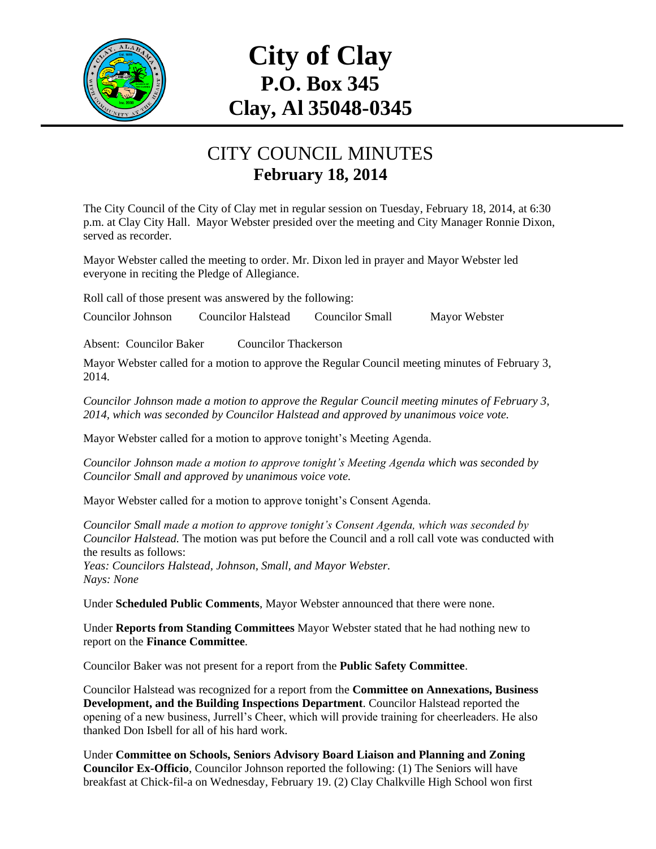

## **City of Clay P.O. Box 345 Clay, Al 35048-0345**

## CITY COUNCIL MINUTES **February 18, 2014**

The City Council of the City of Clay met in regular session on Tuesday, February 18, 2014, at 6:30 p.m. at Clay City Hall. Mayor Webster presided over the meeting and City Manager Ronnie Dixon, served as recorder.

Mayor Webster called the meeting to order. Mr. Dixon led in prayer and Mayor Webster led everyone in reciting the Pledge of Allegiance.

Roll call of those present was answered by the following:

Councilor Johnson Councilor Halstead Councilor Small Mayor Webster

Absent: Councilor Baker Councilor Thackerson

Mayor Webster called for a motion to approve the Regular Council meeting minutes of February 3, 2014.

*Councilor Johnson made a motion to approve the Regular Council meeting minutes of February 3, 2014, which was seconded by Councilor Halstead and approved by unanimous voice vote.*

Mayor Webster called for a motion to approve tonight's Meeting Agenda.

*Councilor Johnson made a motion to approve tonight's Meeting Agenda which was seconded by Councilor Small and approved by unanimous voice vote.*

Mayor Webster called for a motion to approve tonight's Consent Agenda.

*Councilor Small made a motion to approve tonight's Consent Agenda, which was seconded by Councilor Halstead.* The motion was put before the Council and a roll call vote was conducted with the results as follows:

*Yeas: Councilors Halstead, Johnson, Small, and Mayor Webster. Nays: None*

Under **Scheduled Public Comments**, Mayor Webster announced that there were none.

Under **Reports from Standing Committees** Mayor Webster stated that he had nothing new to report on the **Finance Committee**.

Councilor Baker was not present for a report from the **Public Safety Committee**.

Councilor Halstead was recognized for a report from the **Committee on Annexations, Business Development, and the Building Inspections Department**. Councilor Halstead reported the opening of a new business, Jurrell's Cheer, which will provide training for cheerleaders. He also thanked Don Isbell for all of his hard work.

Under **Committee on Schools, Seniors Advisory Board Liaison and Planning and Zoning Councilor Ex-Officio**, Councilor Johnson reported the following: (1) The Seniors will have breakfast at Chick-fil-a on Wednesday, February 19. (2) Clay Chalkville High School won first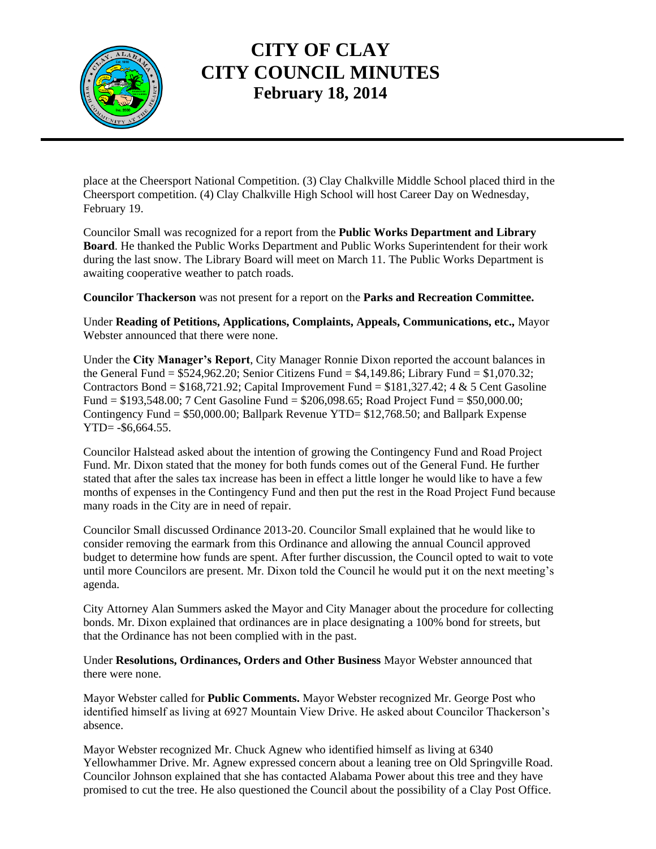

## **CITY OF CLAY CITY COUNCIL MINUTES February 18, 2014**

place at the Cheersport National Competition. (3) Clay Chalkville Middle School placed third in the Cheersport competition. (4) Clay Chalkville High School will host Career Day on Wednesday, February 19.

Councilor Small was recognized for a report from the **Public Works Department and Library Board**. He thanked the Public Works Department and Public Works Superintendent for their work during the last snow. The Library Board will meet on March 11. The Public Works Department is awaiting cooperative weather to patch roads.

**Councilor Thackerson** was not present for a report on the **Parks and Recreation Committee.**

Under **Reading of Petitions, Applications, Complaints, Appeals, Communications, etc.,** Mayor Webster announced that there were none.

Under the **City Manager's Report**, City Manager Ronnie Dixon reported the account balances in the General Fund  $= $524,962.20$ ; Senior Citizens Fund  $= $4,149.86$ ; Library Fund  $= $1,070.32$ ; Contractors Bond =  $$168,721.92$ ; Capital Improvement Fund =  $$181,327.42$ ; 4 & 5 Cent Gasoline Fund = \$193,548.00; 7 Cent Gasoline Fund = \$206,098.65; Road Project Fund = \$50,000.00; Contingency Fund = \$50,000.00; Ballpark Revenue YTD= \$12,768.50; and Ballpark Expense YTD= -\$6,664.55.

Councilor Halstead asked about the intention of growing the Contingency Fund and Road Project Fund. Mr. Dixon stated that the money for both funds comes out of the General Fund. He further stated that after the sales tax increase has been in effect a little longer he would like to have a few months of expenses in the Contingency Fund and then put the rest in the Road Project Fund because many roads in the City are in need of repair.

Councilor Small discussed Ordinance 2013-20. Councilor Small explained that he would like to consider removing the earmark from this Ordinance and allowing the annual Council approved budget to determine how funds are spent. After further discussion, the Council opted to wait to vote until more Councilors are present. Mr. Dixon told the Council he would put it on the next meeting's agenda.

City Attorney Alan Summers asked the Mayor and City Manager about the procedure for collecting bonds. Mr. Dixon explained that ordinances are in place designating a 100% bond for streets, but that the Ordinance has not been complied with in the past.

Under **Resolutions, Ordinances, Orders and Other Business** Mayor Webster announced that there were none.

Mayor Webster called for **Public Comments.** Mayor Webster recognized Mr. George Post who identified himself as living at 6927 Mountain View Drive. He asked about Councilor Thackerson's absence.

Mayor Webster recognized Mr. Chuck Agnew who identified himself as living at 6340 Yellowhammer Drive. Mr. Agnew expressed concern about a leaning tree on Old Springville Road. Councilor Johnson explained that she has contacted Alabama Power about this tree and they have promised to cut the tree. He also questioned the Council about the possibility of a Clay Post Office.